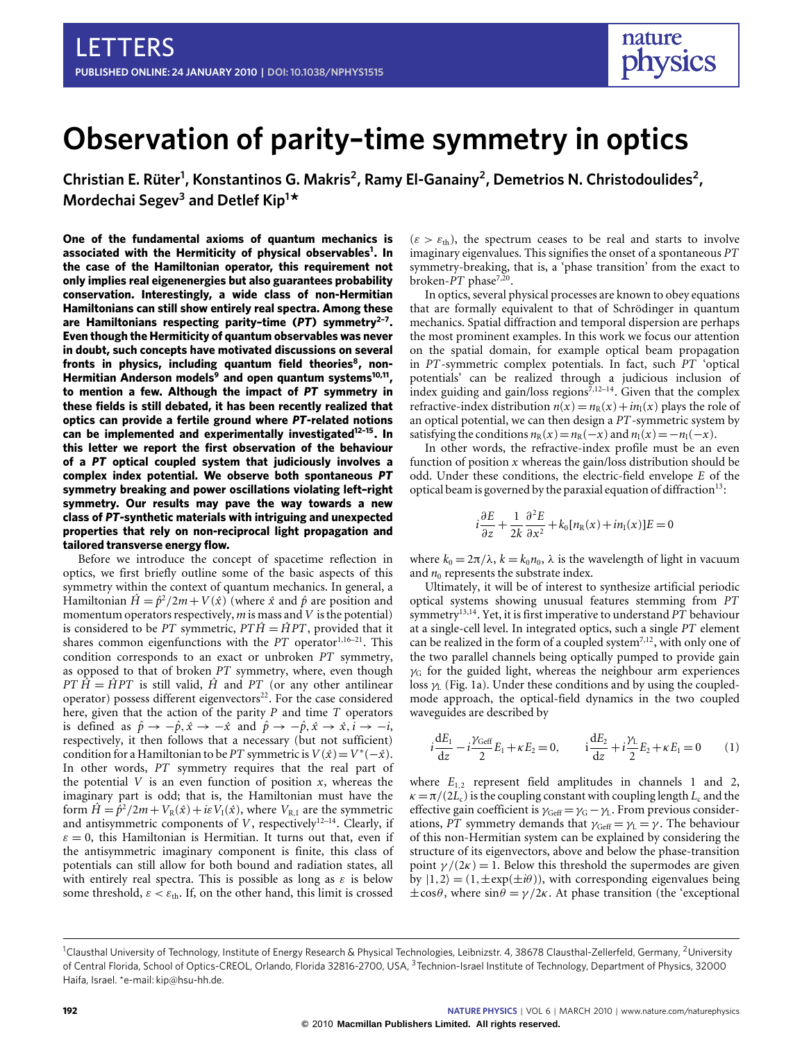# **Observation of parity–time symmetry in optics**

Christian E. Rüter<sup>1</sup>, Konstantinos G. Makris<sup>2</sup>, Ramy El-Ganainy<sup>2</sup>, Demetrios N. Christodoulides<sup>2</sup>, **Mordechai Segev<sup>3</sup> and Detlef Kip<sup>1</sup> \***

**One of the fundamental axioms of quantum mechanics is associated with the Hermiticity of physical observables[1](#page-3-0) . In the case of the Hamiltonian operator, this requirement not only implies real eigenenergies but also guarantees probability conservation. Interestingly, a wide class of non-Hermitian Hamiltonians can still show entirely real spectra. Among these are Hamiltonians respecting parity–time (***PT***) symmetry[2](#page-3-1)[–7](#page-3-2) . Even though the Hermiticity of quantum observables was never in doubt, such concepts have motivated discussions on several fronts in physics, including quantum field theories[8](#page-3-3) , non-Hermitian Anderson models[9](#page-3-4) and open quantum systems[10](#page-3-5)[,11](#page-3-6) , to mention a few. Although the impact of** *PT* **symmetry in these fields is still debated, it has been recently realized that optics can provide a fertile ground where** *PT***-related notions can be implemented and experimentally investigated[12–](#page-3-7)[15](#page-3-8). In this letter we report the first observation of the behaviour of a** *PT* **optical coupled system that judiciously involves a complex index potential. We observe both spontaneous** *PT* **symmetry breaking and power oscillations violating left–right symmetry. Our results may pave the way towards a new class of** *PT***-synthetic materials with intriguing and unexpected properties that rely on non-reciprocal light propagation and tailored transverse energy flow.**

Before we introduce the concept of spacetime reflection in optics, we first briefly outline some of the basic aspects of this symmetry within the context of quantum mechanics. In general, a Hamiltonian  $\hat{H} = \hat{p}^2/2m + V(\hat{x})$  (where  $\hat{x}$  and  $\hat{p}$  are position and momentum operators respectively, *m* is mass and*V* is the potential) is considered to be *PT* symmetric,  $PT\hat{H} = \hat{H}PT$ , provided that it shares common eigenfunctions with the *PT* operator<sup>[1,](#page-3-0)[16–](#page-3-9)[21](#page-3-10)</sup>. This condition corresponds to an exact or unbroken *PT* symmetry, as opposed to that of broken *PT* symmetry, where, even though *PT*  $\hat{H} = \hat{H}PT$  is still valid,  $\hat{H}$  and *PT* (or any other antilinear operator) possess different eigenvectors<sup>[22](#page-3-11)</sup>. For the case considered here, given that the action of the parity *P* and time *T* operators is defined as  $\hat{p} \rightarrow -\hat{p}, \hat{x} \rightarrow -\hat{x}$  and  $\hat{p} \rightarrow -\hat{p}, \hat{x} \rightarrow \hat{x}, \hat{i} \rightarrow -\hat{i}$ , respectively, it then follows that a necessary (but not sufficient) condition for a Hamiltonian to be *PT* symmetric is  $V(\hat{x}) = V^*(-\hat{x})$ . In other words, *PT* symmetry requires that the real part of the potential  $V$  is an even function of position  $x$ , whereas the imaginary part is odd; that is, the Hamiltonian must have the form  $\hat{H} = \hat{\hat{p}}^2/2m + V_R(\hat{x}) + i\epsilon V_I(\hat{x})$ , where  $V_{R,I}$  are the symmetric and antisymmetric components of  $V$ , respectively<sup>12-[14](#page-3-12)</sup>. Clearly, if  $\varepsilon = 0$ , this Hamiltonian is Hermitian. It turns out that, even if the antisymmetric imaginary component is finite, this class of potentials can still allow for both bound and radiation states, all with entirely real spectra. This is possible as long as  $\varepsilon$  is below some threshold,  $\varepsilon < \varepsilon_{\text{th}}$ . If, on the other hand, this limit is crossed  $(\varepsilon > \varepsilon_{\text{th}})$ , the spectrum ceases to be real and starts to involve imaginary eigenvalues. This signifies the onset of a spontaneous *PT* symmetry-breaking, that is, a 'phase transition' from the exact to broken-*PT* phase<sup>[7,](#page-3-2)[20](#page-3-13)</sup>.

In optics, several physical processes are known to obey equations that are formally equivalent to that of Schrödinger in quantum mechanics. Spatial diffraction and temporal dispersion are perhaps the most prominent examples. In this work we focus our attention on the spatial domain, for example optical beam propagation in *PT*-symmetric complex potentials. In fact, such *PT* 'optical potentials' can be realized through a judicious inclusion of index guiding and gain/loss regions $\bar{z}$ ,  $12-14$ . Given that the complex refractive-index distribution  $n(x) = n_R(x) + i n_I(x)$  plays the role of an optical potential, we can then design a *PT*-symmetric system by satisfying the conditions  $n_R(x) = n_R(-x)$  and  $n_I(x) = -n_I(-x)$ .

In other words, the refractive-index profile must be an even function of position *x* whereas the gain/loss distribution should be odd. Under these conditions, the electric-field envelope *E* of the optical beam is governed by the paraxial equation of diffraction<sup>[13](#page-3-14)</sup>:

$$
i\frac{\partial E}{\partial z} + \frac{1}{2k} \frac{\partial^2 E}{\partial x^2} + k_0 [n_R(x) + i n_I(x)]E = 0
$$

where  $k_0 = 2\pi/\lambda$ ,  $k = k_0 n_0$ ,  $\lambda$  is the wavelength of light in vacuum and  $n_0$  represents the substrate index.

Ultimately, it will be of interest to synthesize artificial periodic optical systems showing unusual features stemming from *PT* symmetry[13,](#page-3-14)[14](#page-3-12). Yet, it is first imperative to understand *PT* behaviour at a single-cell level. In integrated optics, such a single *PT* element can be realized in the form of a coupled system<sup>[7](#page-3-2)[,12](#page-3-7)</sup>, with only one of the two parallel channels being optically pumped to provide gain  $\gamma$ <sub>G</sub> for the guided light, whereas the neighbour arm experiences loss  $\gamma$ <sub>L</sub> [\(Fig. 1a](#page-1-0)). Under these conditions and by using the coupledmode approach, the optical-field dynamics in the two coupled waveguides are described by

<span id="page-0-0"></span>
$$
i\frac{dE_1}{dz} - i\frac{\gamma_{\text{Geff}}}{2}E_1 + \kappa E_2 = 0, \qquad i\frac{dE_2}{dz} + i\frac{\gamma_1}{2}E_2 + \kappa E_1 = 0 \tag{1}
$$

where  $E_{1,2}$  represent field amplitudes in channels 1 and 2,  $\kappa = \pi/(2L_c)$  is the coupling constant with coupling length  $L_c$  and the effective gain coefficient is  $\gamma_{\text{Geff}} = \gamma_{\text{G}} - \gamma_{\text{L}}$ . From previous considerations, *PT* symmetry demands that  $\gamma_{\text{Geff}} = \gamma_L = \gamma$ . The behaviour of this non-Hermitian system can be explained by considering the structure of its eigenvectors, above and below the phase-transition point  $\gamma/(2\kappa) = 1$ . Below this threshold the supermodes are given by  $|1,2\rangle = (1,\pm \exp(\pm i\theta))$ , with corresponding eigenvalues being  $\pm \cos\theta$ , where  $\sin\theta = \gamma/2\kappa$ . At phase transition (the 'exceptional

<sup>&</sup>lt;sup>1</sup>Clausthal University of Technology, Institute of Energy Research & Physical Technologies, Leibnizstr. 4, 38678 Clausthal-Zellerfeld, Germany, <sup>2</sup>University of Central Florida, School of Optics-CREOL, Orlando, Florida 32816-2700, USA, <sup>3</sup>Technion-Israel Institute of Technology, Department of Physics, 32000 Haifa, Israel. \*e-mail: [kip@hsu-hh.de.](mailto:kip@hsu-hh.de)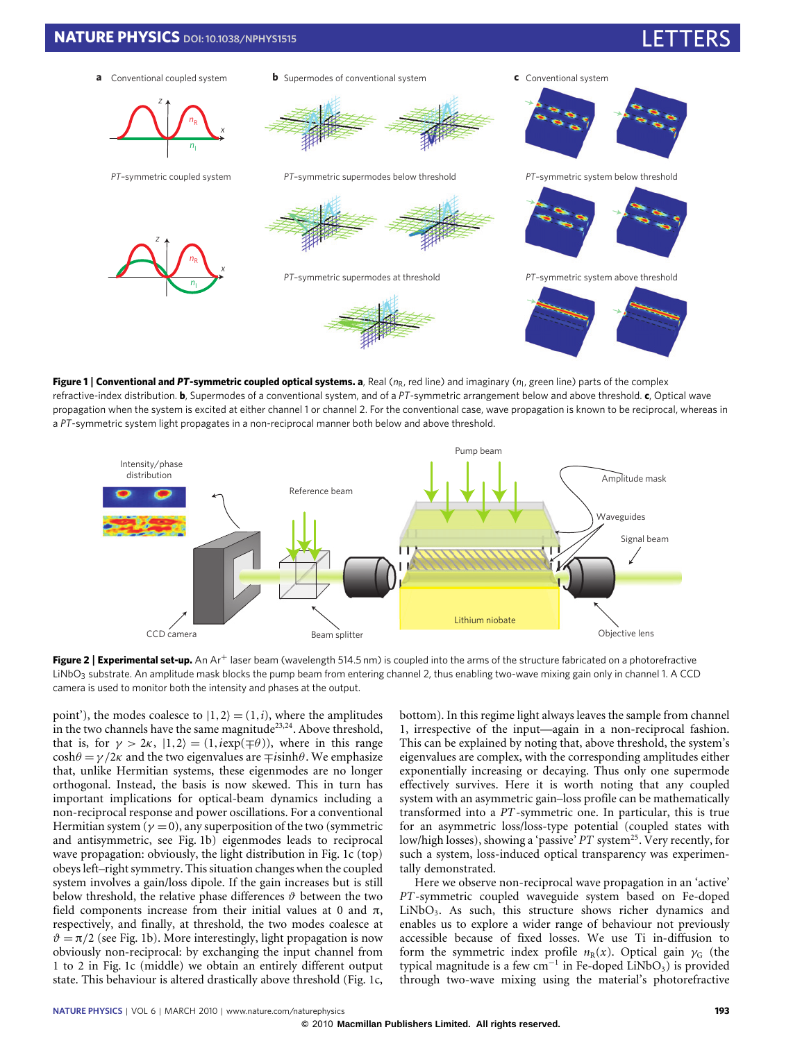

<span id="page-1-0"></span>**Figure 1 | Conventional and PT-symmetric coupled optical systems. a, Real (n<sub>R</sub>, red line) and imaginary (n<sub>I</sub>, green line) parts of the complex** refractive-index distribution. **b**, Supermodes of a conventional system, and of a *PT*-symmetric arrangement below and above threshold. **c**, Optical wave propagation when the system is excited at either channel 1 or channel 2. For the conventional case, wave propagation is known to be reciprocal, whereas in a *PT*-symmetric system light propagates in a non-reciprocal manner both below and above threshold.



<span id="page-1-1"></span>**Figure 2 | Experimental set-up.** An Ar<sup>+</sup> laser beam (wavelength 514.5 nm) is coupled into the arms of the structure fabricated on a photorefractive LiNbO<sub>3</sub> substrate. An amplitude mask blocks the pump beam from entering channel 2, thus enabling two-wave mixing gain only in channel 1. A CCD camera is used to monitor both the intensity and phases at the output.

point'), the modes coalesce to  $|1,2\rangle = (1,i)$ , where the amplitudes in the two channels have the same magnitude<sup>[23](#page-3-15)[,24](#page-3-16)</sup>. Above threshold, that is, for  $\gamma > 2\kappa$ ,  $|1,2\rangle = (1,i \exp(\mp \theta))$ , where in this range  $\cosh\theta = \gamma/2\kappa$  and the two eigenvalues are  $\mp i\sinh\theta$ . We emphasize that, unlike Hermitian systems, these eigenmodes are no longer orthogonal. Instead, the basis is now skewed. This in turn has important implications for optical-beam dynamics including a non-reciprocal response and power oscillations. For a conventional Hermitian system ( $\gamma = 0$ ), any superposition of the two (symmetric and antisymmetric, see [Fig. 1b](#page-1-0)) eigenmodes leads to reciprocal wave propagation: obviously, the light distribution in [Fig. 1c](#page-1-0) (top) obeys left–right symmetry. This situation changes when the coupled system involves a gain/loss dipole. If the gain increases but is still below threshold, the relative phase differences  $\vartheta$  between the two field components increase from their initial values at 0 and  $\pi$ , respectively, and finally, at threshold, the two modes coalesce at  $\vartheta = \pi/2$  (see [Fig. 1b](#page-1-0)). More interestingly, light propagation is now obviously non-reciprocal: by exchanging the input channel from 1 to 2 in [Fig. 1c](#page-1-0) (middle) we obtain an entirely different output state. This behaviour is altered drastically above threshold [\(Fig. 1c](#page-1-0), bottom). In this regime light always leaves the sample from channel 1, irrespective of the input—again in a non-reciprocal fashion. This can be explained by noting that, above threshold, the system's eigenvalues are complex, with the corresponding amplitudes either exponentially increasing or decaying. Thus only one supermode effectively survives. Here it is worth noting that any coupled system with an asymmetric gain–loss profile can be mathematically transformed into a *PT*-symmetric one. In particular, this is true for an asymmetric loss/loss-type potential (coupled states with low/high losses), showing a 'passive' PT system<sup>[25](#page-3-17)</sup>. Very recently, for such a system, loss-induced optical transparency was experimentally demonstrated.

Here we observe non-reciprocal wave propagation in an 'active' *PT*-symmetric coupled waveguide system based on Fe-doped LiNbO3. As such, this structure shows richer dynamics and enables us to explore a wider range of behaviour not previously accessible because of fixed losses. We use Ti in-diffusion to form the symmetric index profile  $n_R(x)$ . Optical gain  $\gamma_G$  (the typical magnitude is a few cm<sup>-1</sup> in Fe-doped LiNbO<sub>3</sub>) is provided through two-wave mixing using the material's photorefractive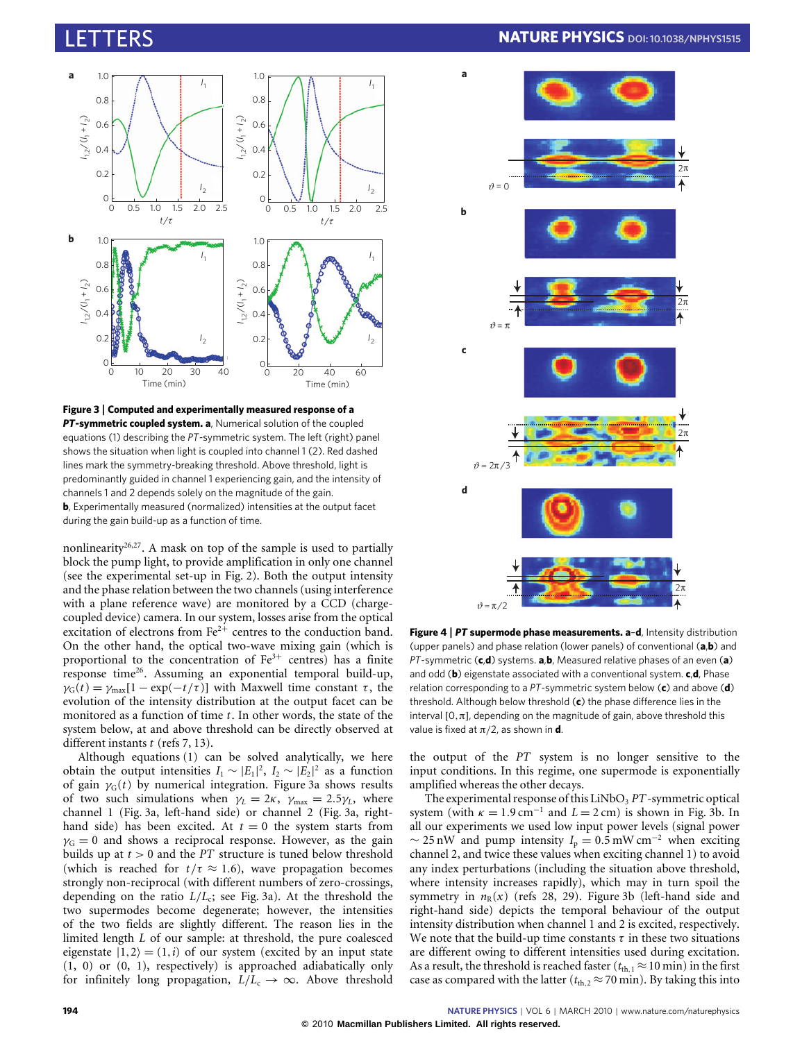

<span id="page-2-0"></span>**Figure 3** | **Computed and experimentally measured response of a** *PT***-symmetric coupled system. a**, Numerical solution of the coupled equations [\(1\)](#page-0-0) describing the *PT*-symmetric system. The left (right) panel shows the situation when light is coupled into channel 1 (2). Red dashed lines mark the symmetry-breaking threshold. Above threshold, light is predominantly guided in channel 1 experiencing gain, and the intensity of channels 1 and 2 depends solely on the magnitude of the gain. **b**, Experimentally measured (normalized) intensities at the output facet during the gain build-up as a function of time.

nonlinearity<sup>[26,](#page-3-18)[27](#page-3-19)</sup>. A mask on top of the sample is used to partially block the pump light, to provide amplification in only one channel (see the experimental set-up in [Fig. 2\)](#page-1-1). Both the output intensity and the phase relation between the two channels (using interference with a plane reference wave) are monitored by a CCD (chargecoupled device) camera. In our system, losses arise from the optical excitation of electrons from  $Fe^{2+}$  centres to the conduction band. On the other hand, the optical two-wave mixing gain (which is proportional to the concentration of  $Fe<sup>3+</sup>$  centres) has a finite response time[26](#page-3-18). Assuming an exponential temporal build-up,  $\gamma_G(t) = \gamma_{\text{max}}[1 - \exp(-t/\tau)]$  with Maxwell time constant  $\tau$ , the evolution of the intensity distribution at the output facet can be monitored as a function of time *t*. In other words, the state of the system below, at and above threshold can be directly observed at different instants *t* (refs [7,](#page-3-2) [13\)](#page-3-14).

Although equations [\(1\)](#page-0-0) can be solved analytically, we here obtain the output intensities  $I_1 \sim |E_1|^2$ ,  $I_2 \sim |E_2|^2$  as a function of gain  $\gamma_G(t)$  by numerical integration. [Figure 3a](#page-2-0) shows results of two such simulations when  $\gamma_L = 2\kappa$ ,  $\gamma_{\text{max}} = 2.5\gamma_L$ , where channel 1 [\(Fig. 3a](#page-2-0), left-hand side) or channel 2 [\(Fig. 3a](#page-2-0), righthand side) has been excited. At  $t = 0$  the system starts from  $\gamma$ <sub>G</sub> = 0 and shows a reciprocal response. However, as the gain builds up at *t* > 0 and the *PT* structure is tuned below threshold (which is reached for  $t/\tau \approx 1.6$ ), wave propagation becomes strongly non-reciprocal (with different numbers of zero-crossings, depending on the ratio *L*/*L*<sup>c</sup> ; see [Fig. 3a](#page-2-0)). At the threshold the two supermodes become degenerate; however, the intensities of the two fields are slightly different. The reason lies in the limited length *L* of our sample: at threshold, the pure coalesced eigenstate  $|1,2\rangle = (1,i)$  of our system (excited by an input state (1, 0) or (0, 1), respectively) is approached adiabatically only for infinitely long propagation,  $L/L_c \rightarrow \infty$ . Above threshold

## LETTERS **NATURE PHYSICS DOI: [10.1038/NPHYS1515](http://www.nature.com/doifinder/10.1038/nphys1515)**



<span id="page-2-1"></span>**Figure 4** | *PT* **supermode phase measurements. a**–**d**, Intensity distribution (upper panels) and phase relation (lower panels) of conventional (**a**,**b**) and *PT*-symmetric (**c**,**d**) systems. **a**,**b**, Measured relative phases of an even (**a**) and odd (**b**) eigenstate associated with a conventional system. **c**,**d**, Phase relation corresponding to a *PT*-symmetric system below (**c**) and above (**d**) threshold. Although below threshold (**c**) the phase difference lies in the interval  $[0,\pi]$ , depending on the magnitude of gain, above threshold this value is fixed at  $\pi/2$ , as shown in **d**.

the output of the *PT* system is no longer sensitive to the input conditions. In this regime, one supermode is exponentially amplified whereas the other decays.

The experimental response of this LiNbO<sub>3</sub> *PT*-symmetric optical system (with  $\kappa = 1.9 \text{ cm}^{-1}$  and  $L = 2 \text{ cm}$ ) is shown in [Fig. 3b](#page-2-0). In all our experiments we used low input power levels (signal power  $\sim$  25 nW and pump intensity  $I_p = 0.5$  mW cm<sup>-2</sup> when exciting channel 2, and twice these values when exciting channel 1) to avoid any index perturbations (including the situation above threshold, where intensity increases rapidly), which may in turn spoil the symmetry in  $n_R(x)$  (refs [28,](#page-3-20) [29\)](#page-3-21). [Figure 3b](#page-2-0) (left-hand side and right-hand side) depicts the temporal behaviour of the output intensity distribution when channel 1 and 2 is excited, respectively. We note that the build-up time constants  $\tau$  in these two situations are different owing to different intensities used during excitation. As a result, the threshold is reached faster ( $t_{th,1} \approx 10$  min) in the first case as compared with the latter ( $t_{th,2} \approx 70$  min). By taking this into